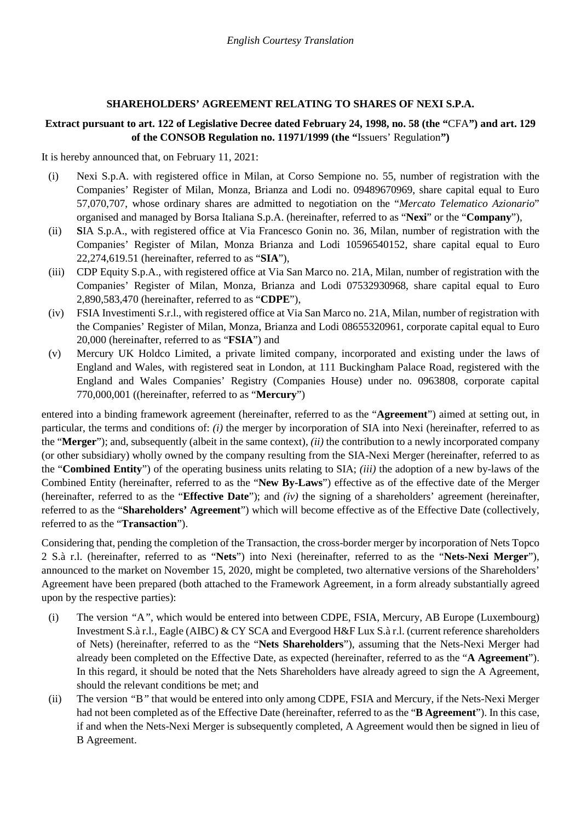## **SHAREHOLDERS' AGREEMENT RELATING TO SHARES OF NEXI S.P.A.**

## **Extract pursuant to art. 122 of Legislative Decree dated February 24, 1998, no. 58 (the "**CFA**") and art. 129 of the CONSOB Regulation no. 11971/1999 (the "**Issuers' Regulation**")**

It is hereby announced that, on February 11, 2021:

- (i) Nexi S.p.A. with registered office in Milan, at Corso Sempione no. 55, number of registration with the Companies' Register of Milan, Monza, Brianza and Lodi no. 09489670969, share capital equal to Euro 57,070,707, whose ordinary shares are admitted to negotiation on the "*Mercato Telematico Azionario*" organised and managed by Borsa Italiana S.p.A. (hereinafter, referred to as "**Nexi**" or the "**Company**"),
- (ii) **S**IA S.p.A., with registered office at Via Francesco Gonin no. 36, Milan, number of registration with the Companies' Register of Milan, Monza Brianza and Lodi 10596540152, share capital equal to Euro 22,274,619.51 (hereinafter, referred to as "**SIA**"),
- (iii) CDP Equity S.p.A., with registered office at Via San Marco no. 21A, Milan, number of registration with the Companies' Register of Milan, Monza, Brianza and Lodi 07532930968, share capital equal to Euro 2,890,583,470 (hereinafter, referred to as "**CDPE**"),
- (iv) FSIA Investimenti S.r.l., with registered office at Via San Marco no. 21A, Milan, number of registration with the Companies' Register of Milan, Monza, Brianza and Lodi 08655320961, corporate capital equal to Euro 20,000 (hereinafter, referred to as "**FSIA**") and
- (v) Mercury UK Holdco Limited, a private limited company, incorporated and existing under the laws of England and Wales, with registered seat in London, at 111 Buckingham Palace Road, registered with the England and Wales Companies' Registry (Companies House) under no. 0963808, corporate capital 770,000,001 ((hereinafter, referred to as "**Mercury**")

entered into a binding framework agreement (hereinafter, referred to as the "**Agreement**") aimed at setting out, in particular, the terms and conditions of: *(i)* the merger by incorporation of SIA into Nexi (hereinafter, referred to as the "**Merger**"); and, subsequently (albeit in the same context), *(ii)* the contribution to a newly incorporated company (or other subsidiary) wholly owned by the company resulting from the SIA-Nexi Merger (hereinafter, referred to as the "**Combined Entity**") of the operating business units relating to SIA; *(iii)* the adoption of a new by-laws of the Combined Entity (hereinafter, referred to as the "**New By-Laws**") effective as of the effective date of the Merger (hereinafter, referred to as the "**Effective Date**"); and *(iv)* the signing of a shareholders' agreement (hereinafter, referred to as the "**Shareholders' Agreement**") which will become effective as of the Effective Date (collectively, referred to as the "**Transaction**").

Considering that, pending the completion of the Transaction, the cross-border merger by incorporation of Nets Topco 2 S.à r.l. (hereinafter, referred to as "**Nets**") into Nexi (hereinafter, referred to as the "**Nets-Nexi Merger**"), announced to the market on November 15, 2020, might be completed, two alternative versions of the Shareholders' Agreement have been prepared (both attached to the Framework Agreement, in a form already substantially agreed upon by the respective parties):

- (i) The version *"*A*"*, which would be entered into between CDPE, FSIA, Mercury, AB Europe (Luxembourg) Investment S.à r.l., Eagle (AIBC) & CY SCA and Evergood H&F Lux S.à r.l. (current reference shareholders of Nets) (hereinafter, referred to as the "**Nets Shareholders**"), assuming that the Nets-Nexi Merger had already been completed on the Effective Date, as expected (hereinafter, referred to as the "**A Agreement**"). In this regard, it should be noted that the Nets Shareholders have already agreed to sign the A Agreement, should the relevant conditions be met; and
- (ii) The version *"*B*"* that would be entered into only among CDPE, FSIA and Mercury, if the Nets-Nexi Merger had not been completed as of the Effective Date (hereinafter, referred to as the "**B Agreement**"). In this case, if and when the Nets-Nexi Merger is subsequently completed, A Agreement would then be signed in lieu of B Agreement.